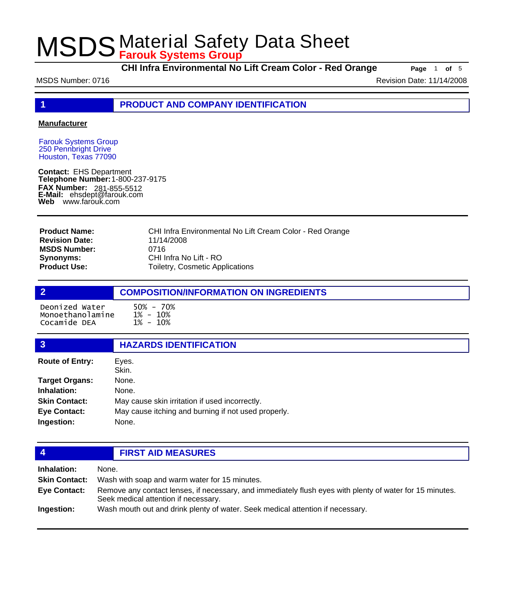**CHI Infra Environmental No Lift Cream Color - Red Orange Page** 1 of 5

MSDS Number: 0716 **Revision Date: 11/14/2008** Revision Date: 11/14/2008

**1 PRODUCT AND COMPANY IDENTIFICATION**

#### **Manufacturer**

Farouk Systems Group 250 Pennbright Drive Houston, Texas 77090

**Contact:** EHS Department **Telephone Number:** 1-800-237-9175 **FAX Number: FAX Number:** 281-855-5512<br>**E-Mail:** ehsdept@farouk.com **Web** www.farouk.com

CHI Infra Environmental No Lift Cream Color - Red Orange 11/14/2008 0716 CHI Infra No Lift - RO Toiletry, Cosmetic Applications **Product Name: Revision Date: MSDS Number: Synonyms: Product Use:**

### **2 COMPOSITION/INFORMATION ON INGREDIENTS** Deonized Water 50% - 70% Monoethanolamine Cocamide DEA

| 3                      | <b>HAZARDS IDENTIFICATION</b>                       |
|------------------------|-----------------------------------------------------|
| <b>Route of Entry:</b> | Eyes.<br>Skin.                                      |
| <b>Target Organs:</b>  | None.                                               |
| Inhalation:            | None.                                               |
| <b>Skin Contact:</b>   | May cause skin irritation if used incorrectly.      |
| <b>Eye Contact:</b>    | May cause itching and burning if not used properly. |
| Ingestion:             | None.                                               |
|                        |                                                     |

### **4 FIRST AID MEASURES**

| Inhalation:          | None.                                                                                                                                            |
|----------------------|--------------------------------------------------------------------------------------------------------------------------------------------------|
| <b>Skin Contact:</b> | Wash with soap and warm water for 15 minutes.                                                                                                    |
| <b>Eve Contact:</b>  | Remove any contact lenses, if necessary, and immediately flush eyes with plenty of water for 15 minutes.<br>Seek medical attention if necessary. |
| Ingestion:           | Wash mouth out and drink plenty of water. Seek medical attention if necessary.                                                                   |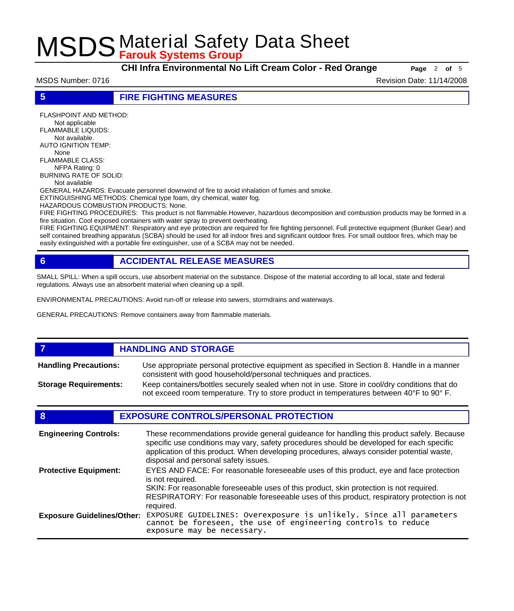**CHI Infra Environmental No Lift Cream Color - Red Orange Page** <sup>2</sup> **of** <sup>5</sup>

MSDS Number: 0716 **Revision Date: 11/14/2008** Revision Date: 11/14/2008

**5 FIRE FIGHTING MEASURES**

FLASHPOINT AND METHOD: Not applicable FLAMMABLE LIQUIDS: Not available. AUTO IGNITION TEMP: None FLAMMABLE CLASS: NFPA Rating: 0 BURNING RATE OF SOLID: Not available GENERAL HAZARDS: Evacuate personnel downwind of fire to avoid inhalation of fumes and smoke. EXTINGUISHING METHODS: Chemical type foam, dry chemical, water fog. HAZARDOUS COMBUSTION PRODUCTS: None. FIRE FIGHTING PROCEDURES: This product is not flammable.However, hazardous decomposition and combustion products may be formed in a fire situation. Cool exposed containers with water spray to prevent overheating.

FIRE FIGHTING EQUIPMENT: Respiratory and eye protection are required for fire fighting personnel. Full protective equipment (Bunker Gear) and self contained breathing apparatus (SCBA) should be used for all indoor fires and significant outdoor fires. For small outdoor fires, which may be easily extinguished with a portable fire extinguisher, use of a SCBA may not be needed.

### **6 ACCIDENTAL RELEASE MEASURES**

SMALL SPILL: When a spill occurs, use absorbent material on the substance. Dispose of the material according to all local, state and federal regulations. Always use an absorbent material when cleaning up a spill.

ENVIRONMENTAL PRECAUTIONS: Avoid run-off or release into sewers, stormdrains and waterways.

GENERAL PRECAUTIONS: Remove containers away from flammable materials.

#### *HANDLING AND STORAGE* Use appropriate personal protective equipment as specified in Section 8. Handle in a manner consistent with good household/personal techniques and practices. **Handling Precautions:** Keep containers/bottles securely sealed when not in use. Store in cool/dry conditions that do not exceed room temperature. Try to store product in temperatures between 40°F to 90° F. **Storage Requirements:**

### **8 EXPOSURE CONTROLS/PERSONAL PROTECTION**

| <b>Engineering Controls:</b>      | These recommendations provide general guideance for handling this product safely. Because<br>specific use conditions may vary, safety procedures should be developed for each specific<br>application of this product. When developing procedures, always consider potential waste,<br>disposal and personal safety issues. |
|-----------------------------------|-----------------------------------------------------------------------------------------------------------------------------------------------------------------------------------------------------------------------------------------------------------------------------------------------------------------------------|
| <b>Protective Equipment:</b>      | EYES AND FACE: For reasonable foreseeable uses of this product, eye and face protection<br>is not required.<br>SKIN: For reasonable foreseeable uses of this product, skin protection is not required.<br>RESPIRATORY: For reasonable foreseeable uses of this product, respiratory protection is not<br>required.          |
| <b>Exposure Guidelines/Other:</b> | EXPOSURE GUIDELINES: Overexposure is unlikely. Since all parameters cannot be foreseen, the use of engineering controls to reduce<br>exposure may be necessary.                                                                                                                                                             |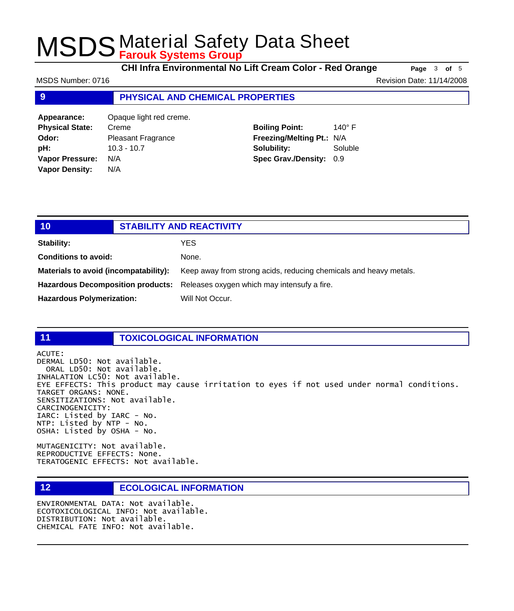**CHI Infra Environmental No Lift Cream Color - Red Orange Page** 3 of 5

MSDS Number: 0716 **Revision Date: 11/14/2008** Revision Date: 11/14/2008

#### **9 PHYSICAL AND CHEMICAL PROPERTIES**

**Appearance:** Opaque light red creme. **Physical State:** Creme **Odor:** Pleasant Fragrance **pH:** 10.3 - 10.7 **Vapor Pressure:** N/A **Vapor Density:** N/A

#### **Boiling Point:** 140° F **Freezing/Melting Pt.:** N/A **Solubility:** Soluble **Spec Grav./Density:** 0.9

| 101                                   | <b>STABILITY AND REACTIVITY</b>                                               |
|---------------------------------------|-------------------------------------------------------------------------------|
| <b>Stability:</b>                     | YES                                                                           |
| <b>Conditions to avoid:</b>           | None.                                                                         |
| Materials to avoid (incompatability): | Keep away from strong acids, reducing chemicals and heavy metals.             |
|                                       | Hazardous Decomposition products: Releases oxygen which may intensufy a fire. |
| <b>Hazardous Polymerization:</b>      | Will Not Occur.                                                               |

#### **11 TOXICOLOGICAL INFORMATION**

ACUTE:

DERMAL LD50: Not available. ORAL LD50: Not available. INHALATION LC50: Not available. EYE EFFECTS: This product may cause irritation to eyes if not used under normal conditions. TARGET ORGANS: NONE. SENSITIZATIONS: Not available. CARCINOGENICITY: IARC: Listed by IARC - No. NTP: Listed by NTP - No. OSHA: Listed by OSHA - No.

MUTAGENICITY: Not available. REPRODUCTIVE EFFECTS: None. TERATOGENIC EFFECTS: Not available.

#### **12 ECOLOGICAL INFORMATION**

ENVIRONMENTAL DATA: Not available. ECOTOXICOLOGICAL INFO: Not available. DISTRIBUTION: Not available. CHEMICAL FATE INFO: Not available.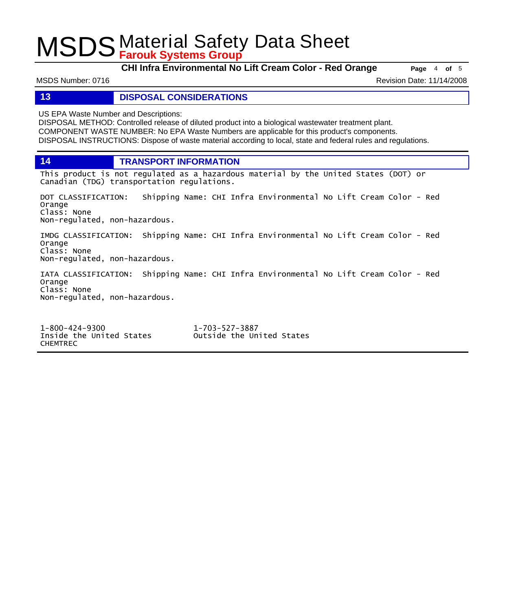**CHI Infra Environmental No Lift Cream Color - Red Orange Page** <sup>4</sup> **of** <sup>5</sup>

MSDS Number: 0716 **Revision Date: 11/14/2008** Revision Date: 11/14/2008

#### **13 DISPOSAL CONSIDERATIONS**

US EPA Waste Number and Descriptions:

DISPOSAL METHOD: Controlled release of diluted product into a biological wastewater treatment plant. COMPONENT WASTE NUMBER: No EPA Waste Numbers are applicable for this product's components. DISPOSAL INSTRUCTIONS: Dispose of waste material according to local, state and federal rules and regulations.

**14 TRANSPORT INFORMATION**

This product is not regulated as a hazardous material by the United States (DOT) or Canadian (TDG) transportation regulations.

DOT CLASSIFICATION: Shipping Name: CHI Infra Environmental No Lift Cream Color - Red Orange Class: None Non-regulated, non-hazardous.

IMDG CLASSIFICATION: Shipping Name: CHI Infra Environmental No Lift Cream Color - Red Orange Class: None Non-regulated, non-hazardous.

IATA CLASSIFICATION: Shipping Name: CHI Infra Environmental No Lift Cream Color - Red Orange Class: None Non-regulated, non-hazardous.

1-800-424-9300 1-703-527-3887 CHEMTREC

Outside the United States